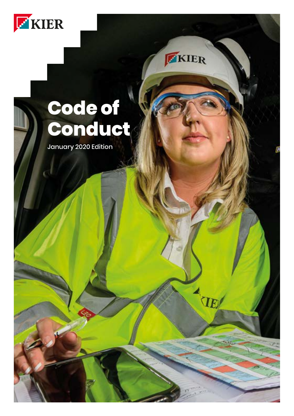

# **Code of Conduct**

KIER

AVE

January 2020 Edition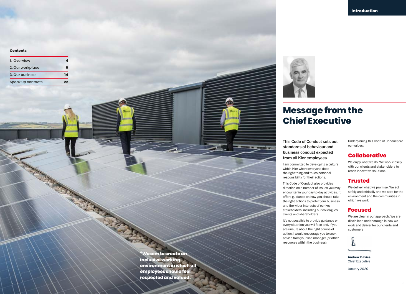#### **Contents**

| 1. Overview              |    |
|--------------------------|----|
| 2. Our workplace         | ĥ  |
| 3. Our business          |    |
| <b>Speak Up contacts</b> | ככ |

**"We aim to create an inclusive working environment in which all employees should feel respected and valued."**



# **Message from the Chief Executive**

This Code of Conduct sets out standards of behaviour and business conduct expected from all Kier employees.

I am committed to developing a culture within Kier where everyone does the right thing and takes personal responsibility for their actions.

This Code of Conduct also provides direction on a number of issues you may encounter in your day-to-day activities. It offers guidance on how you should take the right actions to protect our business and the wider interests of our key stakeholders, including our colleagues, clients and shareholders.

It's not possible to provide guidance on every situation you will face and, if you are unsure about the right course of action, I would encourage you to seek advice from your line manager (or other resources within the business).

Underpinning this Code of Conduct are our values:

## **Collaborative**

We enjoy what we do. We work closely with our clients and stakeholders to reach innovative solutions

## **Trusted**

We deliver what we promise. We act safely and ethically and we care for the environment and the communities in which we work

## **Focused**

We are clear in our approach. We are disciplined and thorough in how we work and deliver for our clients and customers



Andrew Davies Chief Executive

January 2020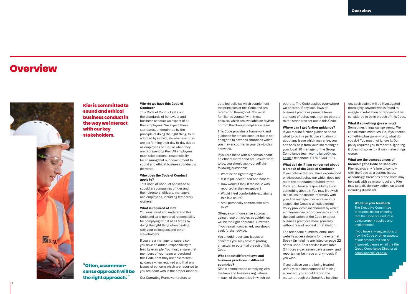# <span id="page-2-0"></span>**Overview**



**Kier is committed to sound and ethical business conduct in the way we interact with our key stakeholders.** 

**"Often, a commonsense approach will be the right approach. "**

#### Why do we have this Code of Conduct?

This Code of Conduct sets out the standards of behaviour and business conduct we expect of all Kier employees. We expect these standards, underpinned by the principle of doing the right thing, to be adopted by individuals whenever they are performing their day-to-day duties as employees of Kier, or when they are representing Kier. All employees must take personal responsibility for ensuring that our commitment to sound and ethical business conduct is delivered.

#### Who does the Code of Conduct apply to?

This Code of Conduct applies to all subsidiary companies of Kier and their directors, officers, managers and employees, including temporary workers.

#### What is required of me?

You must read and understand this Code and take personal responsibility for complying with it at all times by doing the right thing when dealing with your colleagues and other stakeholders.

If you are a manager or supervisor, you have an added responsibility to lead by example. You must ensure that members of your team understand this Code, that they are able to seek guidance when required and that any issues of concern which are reported to you are dealt with in the proper manner.

Our Operating Framework refers to

detailed policies which supplement the principles of this Code and are referred to throughout. You must familiarise yourself with these policies, which are available on MyKier or from the Group Compliance team.

This Code provides a framework and guidance for ethical conduct but is not designed to cover all situations which you may encounter in your day-to-day activities.

If you are faced with a decision about an ethical matter and are unsure what to do, you should ask yourself the following questions:

- What is the right thing to do?
- Is it legal, decent, fair and honest? • How would it look if the issue was reported in the newspaper?
- Would I feel comfortable explaining this in a court?
- Am I personally comfortable with this?

Often, a common-sense approach, using these principles as guidelines, will be the right approach. However, if you remain concerned, you should seek further advice.

You should report any issues or concerns you may have regarding an actual or potential breach of this Code.

#### What about different laws and business practices in different countries?

Kier is committed to complying with the laws and business regulations in each of the countries in which we

operate. The Code applies everywhere we operate. If any local laws or business practices permit a lower standard of behaviour, then we operate to the standards set out in this Code.

#### Where can I get further guidance?

If you require further guidance about what to do in a particular situation or about any issue which may arise, you can seek help from your line manager, your local HR manager or the Group Compliance team [\(compliance@kier.](mailto:compliance%40kier.co.uk?subject=) [co.uk](mailto:compliance%40kier.co.uk?subject=) / telephone: 01767 640 111).

#### What do I do if I am concerned about a breach of the Code of Conduct?

If you believe that you have experienced or witnessed behaviour which does not meet the standards required by the Code, you have a responsibility to do something about it. You may first wish to discuss the matter informally with your line manager. For more serious issues, the Group's Whistleblowing Policy provides a mechanism by which employees can report concerns about the application of the Code or about business practices more generally, without fear of reprisal or retaliation.

The telephone numbers, email and website access details for the external Speak Up helpline are listed on [page 22](#page-11-0) of this Code. This service is available 24 hours a day, seven days a week, and reports may be made anonymously if you wish.

If you believe you are being treated unfairly as a consequence of raising a concern, you should report the matter through the Speak Up helpline.

Any such claims will be investigated thoroughly. Anyone who is found to engage in retaliation or reprisal will be considered to be in breach of this Code.

#### What if something goes wrong?

Sometimes things can go wrong. We can all make mistakes. So, if you notice something has gone wrong, what do you do? You must not ignore it. Our policy requires you to report it. Ignoring it does not solve it – it may make things worse.

What are the consequences of breaching the Code of Conduct? Kier regards any failure to comply with the Code as a serious issue. Accordingly, breaches of the Code may be dealt with as misconduct and Kier may take disciplinary action, up to and including dismissal.

#### We value your feedback

The Executive Committee is responsible for ensuring that the Code of Conduct is being properly applied and implemented.

If you have any suggestions on how the Code or other aspects of our procedures can be improved, please email the Kier Group Compliance Director at [compliance@kier.co.uk](mailto:compliance%40kier.co.uk?subject=).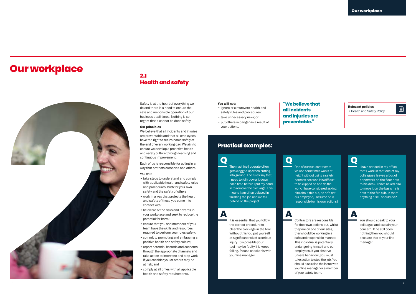# <span id="page-3-0"></span>**Our workplace**



# **2.1 Health and safety**

Safety is at the heart of everything we do and there is a need to ensure the safe and responsible operation of our business at all times. Nothing is so urgent that it cannot be done safely.

#### Our principles

We believe that all incidents and injuries are preventable and that all employees have the right to return home safely at the end of every working day. We aim to ensure we develop a proactive health and safety culture through learning and continuous improvement.

Each of us is responsible for acting in a way that protects ourselves and others.

#### You will:

- take steps to understand and comply with applicable health and safety rules and procedures, both for your own safety and the safety of others;
- work in a way that protects the health and safety of those you come into contact with;
- be aware of the risks and hazards in your workplace and seek to reduce the potential for harm;
- ensure that you and members of your team have the skills and resources required to perform your roles safely;
- commit to promoting and embracing a positive health and safety culture;
- report potential hazards and concerns through the appropriate channels and take action to intervene and stop work if you consider you or others may be at risk; and
- comply at all times with all applicable health and safety requirements.

#### You will not:

- ignore or circumvent health and safety rules and procedures;
- take unnecessary risks; or
- put others in danger as a result of your actions.

# **Practical examples:**

**Q** The machine I onerate often gets clogged up when cutting into ground. The rules say that I need to fully power it down each time before I put my hand in to remove the blockage. This means I am often delayed in finishing the job and we fall behind on the project.

## **A**

It is essential that you follow the correct procedure to clear the blockage in the tool. Without this you put yourself at significant risk of a serious injury. It is possible your tool may be faulty if it keeps failing. Please check this with your line manager.

## **"We believe that all incidents and injuries are preventable."**

we use sometimes works at height without using a safety harness because it is difficult to be clipped on and do the work. I have considered asking him about this but, as he's not our employee, I assume he is responsible for his own actions?

for their own actions but, whilst they are on one of our sites, they should be working in a safe and responsible manner. This individual is potentially endangering himself and our employees. If you observe unsafe behaviour, you must take action to stop the job. You should also raise the issue with your line manager or a member of your safety team.

Relevant policies **Relevant policies**<br>• Health and Safety Policy

# **Q**<br>
One of our sub-contractors

I have noticed in my office that I work in that one of my colleagues leaves a box of paperwork on the floor next to his desk. I have asked him to move it on the basis he is next to the fire exit. Is there anything else I should do?

# **A** Contractors are responsible

You should speak to your colleague and explain your concern. If he still does nothing then you should escalate this to your line manager.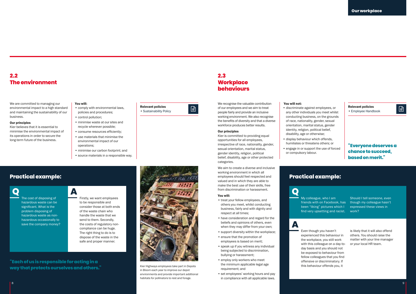## **2.2 The environment**

We are committed to managing our environmental impact to a high standard and maintaining the sustainability of our business.

#### Our principles

Kier believes that it is essential to minimise the environmental impact of its operations in order to secure the long-term future of the business.

> The cost of disposing of hazardous waste can be significant. What is the problem disposing of hazardous waste as nonhazardous occasionally to save the company money?

### You will:

- comply with environmental laws, policies and procedures; • control pollution;
- minimise waste at our sites and recycle wherever possible;
- consume resources efficiently; • use materials that minimise the environmental impact of our
- operations; • minimise our carbon footprint; and

Firstly, we want employees to be responsible and consider those at both ends of the waste chain who handle the waste that we send to them. Secondly, the costs of regulatory noncompliance can be huge. The right thing to do is to dispose of the waste in the safe and proper manner.

• source materials in a responsible way.

# Relevant policies

• Sustainability Policy

# **Practical example: Practical example: Q A Q**

Kier Highways employees take part in Depots in Bloom each year to improve our depot environments and provide important additional habitats for pollinators to rest and forage.

# **2.3 Workplace behaviours**

We recognise the valuable contribution of our employees and we aim to treat discriminate against employees, or **Relevant policies** encode fairly and provide an inclusive any other individuals vou meet whilst **Findall Constant Constant Constant Constant Constant** people fairly and provide an inclusive working environment. We also recognise the benefits of diversity and that a diverse workforce produces better results.

#### Our principles

Kier is committed to providing equal opportunities for all employees, irrespective of race, nationality, gender, sexual orientation, marital status, gender identity, religion, political belief, disability, age or other protected categories.

We aim to create a diverse and inclusive working environment in which all employees should feel respected and valued and in which they are able to make the best use of their skills, free from discrimination or harassment.

#### You will:

- treat your fellow employees, and others you meet, whilst conducting business, fairly and with dignity and respect at all times;
- have consideration and regard for the beliefs and opinions of others, even when they may differ from your own;
- support diversity within the workplace; • ensure that the promotion of employees is based on merit;
- speak up if you witness any individual being subjected to discrimination, bullying or harassment;
- employ only workers who meet the minimum applicable legal age requirement; and
- set employees' working hours and pay in compliance with all applicable laws.

#### You will not:

- discriminate against employees, or any other individuals you meet whilst conducting business, on the grounds of race, nationality, gender, sexual orientation, marital status, gender identity, religion, political belief, disability, age or otherwise;
- display behaviour which offends, humiliates or threatens others; or
- engage in or support the use of forced or compulsory labour.

## **"Everyone deserves a chance to succeed, based on merit."**

# My colleague, who I am

friends with on Facebook, has though my colleague hasn't Should I tell someone, even expressed these views in work?

# **A**

Even though you haven't experienced this behaviour in the workplace, you still work with this colleague on a day-today basis and you should not be exposed to behaviour from fellow colleagues that you find offensive or discriminatory. If this behaviour offends you, it

been "liking" pictures which I find very upsetting and racist.

> is likely that it will also offend others. You should raise the matter with your line manager or your local HR team.

**"Each of us is responsible for acting in a way that protects ourselves and others."**

8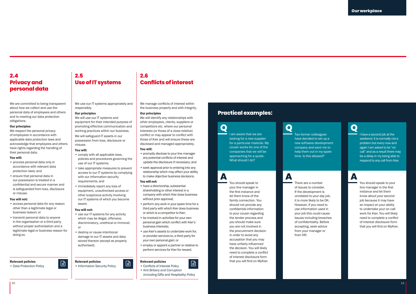## **2.4 Privacy and personal data**

We are committed to being transparent about how we collect and use the personal data of employees and others and to meeting our data protection obligations.

#### Our principles

We respect the personal privacy of employees in accordance with applicable data protection laws and acknowledge that employees and others have rights regarding the handling of their personal data.

#### You will:

- process personal data only in accordance with relevant data protection laws; and
- ensure that personal data in our possession is treated in a confidential and secure manner and is safeguarded from loss, disclosure or misuse.

#### You will not:

- access personal data for any reason other than a legitimate legal or business reason; or
- transmit personal data to anyone in the organisation or a third party without proper authorisation and a legitimate legal or business reason for doing so.

## Relevant policies

# Relevant policies

Relevant policies<br>• Data Protection Policy **Discription Security Policy Protection Security Policy** Policy **Protect Policy** 

# **Use of IT systems**

We use our IT systems appropriately and responsibly.

#### Our principles

**2.5**

We will use our IT systems and equipment for their intended purpose of promoting effective communication and working practices within our business.

We will safeguard IT assets in our possession from loss, disclosure or misuse.

#### You will:

- comply with all applicable laws, policies and procedures governing the use of our IT systems;
- take appropriate measures to prevent access to our IT systems by complying with our information security
- immediately report any loss of equipment, unauthorised access or other suspicious activity involving our IT systems of which you become aware.

- use our IT systems for any activity which may be illegal, offensive, discriminatory, unethical or immoral;
- destroy or cause intentional damage to our IT assets and data stored thereon (except as properly authorised).

- 
- requirements; and
- 

#### You will not:

- or
- 

**2.6 Conflicts of interest**

We manage conflicts of interest within the business properly and with integrity.

#### Our principles

We will identify any relationships with other employees, clients, suppliers or competitors etc. where our personal interests (or those of a close relative) conflict or may appear to conflict with those of Kier and will ensure these are disclosed and managed appropriately.

#### You will:

- promptly disclose to your line manager any potential conflicts of interest and update the disclosure if necessary; and
- seek approval prior to entering into any relationship which may affect your ability to make objective business decisions.

#### You will not:

- have a directorship, substantial shareholding or other interest in a company with which Kier does business without prior approval;
- perform any work in your spare time for a third party with which Kier does business or which is a competitor to Kier;
- be involved in activities for your own personal gain which conflict with Kier's business interests;
- use Kier's assets to undertake work for, or provider services to, a third party for your own personal gain; or
- employ or appoint a partner or relative to perform services for Kier for reward.

#### Relevant policies

• Conflicts of Interest Policy • Anti Bribery and Corruption (including Gifts and Hospitality) Policy

# **Practical examples:**

**Q** I am aware that we are looking for a new supplier for a particular material. My cousin works for one of the companies that we will be approaching for a quote. What should I do?

**A**

You should speak to your line manager in the first instance and let them know of the family connection. You should not provide any confidential information to your cousin regarding the tender process and you should make sure you are not involved in the procurement decision in order to avoid any accusation that you may have unfairly influenced the decision. You will likely need to complete a conflict of interest disclosure form that you will find on MyKier.

## **Q Q** Two former colleagues have decided to set up a new software development company and want me to help them out in my spare time. Is this allowed?

**A A A A** There are a number of issues to consider. If the development is unrelated to your day job, it is more likely to be OK. However, if you need to use information used in your job this could cause issues including breaches of confidentiality. Before accepting, seek advice from your manager or from HR.

I have a second job at the weekend. It is normally not a problem but every now and again I am asked to be "on

call" and as a result there may be a delay in my being able to respond to any call from Kier.

You should speak to your line manager in the first instance and let them know about your second job because it may have an impact on your ability to undertake your on-call work for Kier. You will likely need to complete a conflict of interest disclosure form that you will find on MyKier.

10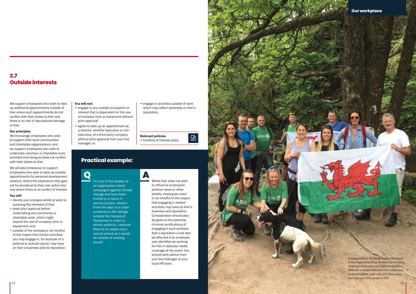

We support employees who wish to take up additional appointments outside of Kier where such appointments do not conflict with their duties to Kier and there is no risk of reputational damage to Kier.

#### Our principles

We encourage employees who wish to support their local communities and charitable organisations, and we support employees who wish to undertake voluntary or charitable work, provided that doing so does not conflict with their duties to Kier.

We will also endeavour to support employees who wish to take up outside appointments for personal development reasons, where the experience they gain will be beneficial to their role within Kier and where there is no conflict of interest.

#### You will:

- devote your energies whilst at work to pursuing the interests of Kier;
- seek prior approval before undertaking any community or charitable work, which might require the use of company time or equipment; and
- outside of the workplace, be mindful of the impact that certain activities you may engage in, for example of a political or activist nature, may have on Kier's business and its reputation.

#### You will not:

- engage in any outside occupation or interest that is dependent on the use of company time or equipment without prior approval;
- agree to take up an appointment as a director, whether executive or nonexecutive, of a third-party company without prior approval from your line manager; or

# **Practical example:**

**Q** I'm one of the leaders of an organisation which campaigns against climate change and have been invited to a march in central London, where I

hours?

know the plan is to chain ourselves to the railings outside the Houses of Parliament in order to attract publicity. I assume there is no reason why I cannot attend as it would be outside of working

• engage in activities outside of work which may reflect adversely on Kier's reputation.

| <b>Relevant policies</b>       |  |
|--------------------------------|--|
| • Conflicts of Interest policy |  |

 $\Box$ 

**A** Whilst Kier does not wish to influence employees' political views or other

beliefs, employees need to be mindful of the impact that engaging in related activities may have on Kier's business and reputation. Consideration should also be given to the potential criminal ramifications of engaging in such protests. Kier's reputation could also be affected if an employee was identified as working for Kier in adverse media coverage of the event. You should seek advice from your line manager or your local HR team.

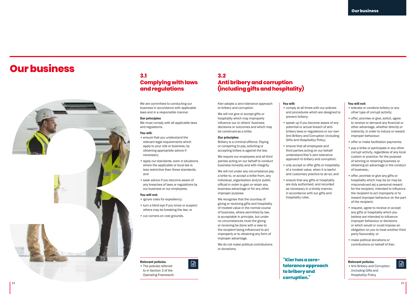# <span id="page-7-0"></span>**Our business**



# **3.1 Complying with laws and regulations**

We are committed to conducting our business in accordance with applicable laws and in a responsible manner.

#### Our principles

We must comply with all applicable laws and regulations.

#### You will:

- ensure that you understand the relevant legal requirements which apply to your role or business, by obtaining appropriate advice if necessary;
- apply our standards, even in situations where the applicable or local law is less restrictive than those standards; and
- seek advice if you become aware of any breaches of laws or regulations by our business or our employees.

#### You will not:

- ignore rules for expediency;
- turn a blind eye if you know or suspect others may be breaking the law; or
- cut corners on cost grounds.

## **3.2 Anti bribery and corruption (including gifts and hospitality)**

You will:

prevent bribery;

hospitality rules.

• comply at all times with our policies and procedures which are designed to

• speak up if you become aware of any potential or actual breach of antibribery laws or regulations or our own Anti Bribery and Corruption (including Gifts and Hospitality) Policy; • ensure that all employees and third parties acting on our behalf understand Kier's zero tolerance approach to bribery and corruption; • only accept or offer gifts or hospitality of a modest value, when it is lawful and customary practice to do so; and • ensure that any gifts or hospitality are duly authorised, and recorded as necessary in a timely manner, in accordance with our gifts and

Kier adopts a zero-tolerance approach to bribery and corruption.

We will not give or accept gifts or hospitality which may improperly influence our or others' business decisions or outcomes and which may be construed as a bribe.

#### Our principles

Bribery is a criminal offence. Paying or conspiring to pay, soliciting or accepting bribes is against the law.

We require our employees and all third parties acting on our behalf to conduct business honestly and with integrity.

We will not under any circumstance pay a bribe to, or accept a bribe from, any individual, organisation and/or public official in order to gain or retain any business advantage or for any other improper purpose.

We recognise that the courtesy of giving or receiving gifts and hospitality of modest value in the normal course of business, where permitted by law, is acceptable in principle, but under no circumstances must the giving or receiving be done with a view to the recipient being influenced to act improperly or to obtaining any form of improper advantage.

We do not make political contributions or donations.

**"Kier has a zerotolerance approach Relevant policies to bribery and corruption."**

#### You will not:

- tolerate or condone bribery or any other type of corrupt activity;
- offer, promise or give, solicit, agree to receive or demand any financial or other advantage, whether directly or indirectly, in order to induce or reward improper behaviour;
- offer or make facilitation payments;
- pay a bribe or participate in any other corrupt activity, regardless of any local custom or practice, for the purpose of winning or retaining business or obtaining an advantage in the conduct of business.;
- offer, promise or give any gifts or hospitality which may be (or may be misconstrued as) a personal reward for the recipient, intended to influence the recipient to act improperly or to reward improper behaviour on the part of the recipient;
- request, agree to receive or accept any gifts or hospitality which you believe are intended to influence improper behaviour or decisions or which would or could impose an obligation on you to treat another third party favourably; or
- make political donations or contributions on behalf of Kier.

• Anti Bribery and Corruption (including Gifts and Hospitality) Policy

15

 $\Box$ 

Relevant policies • The policies referred to in Section 3 of the Operating Framework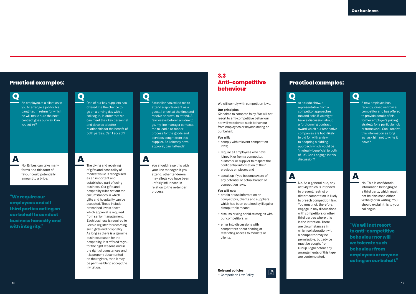# **Practical examples:**

**Q** An employee at a client asks you to arrange a job for his daughter, in return for which he will make sure the next contract goes our way. Can you agree?

# **A**

No. Bribes can take many forms and this form of favour could potentially amount to a bribe.

**"We require our employees and all third parties acting on our behalf to conduct business honestly and with integrity."**

# **Q**<br>
One of our key suppliers has

offered me the chance to go on a driving day with a colleague, in order that we can meet their key personnel and develop a better relationship for the benefit of both parties. Can I accept?

**A** The giving and receiving of gifts and hospitality of modest value is recognised as an important and established part of doing business. Our gifts and hospitality rules set out the circumstances in which gifts and hospitality can be accepted. These include prescribed levels above which approval is required from senior management. Each business is required to keep a register for recording such gifts and hospitality. As long as there is a genuine business reason for the hospitality, it is offered to you for the right reasons and in the right circumstances and it is properly documented on the register, then it may be permissible to accept the invitation.

A supplier has asked me to attend a sports event as a guest. I check at the time and receive approval to attend. A few weeks before I am due to go, my line manager contacts me to lead a re-tender process for the goods and services bought from this supplier. As I already have approval, can I attend?

You should raise this with your line manager. If you attend, other tenderers may allege you have been unfairly influenced in relation to the re-tender process.

## **3.3 Anti-competitive behaviour**

We will comply with competition laws.

#### Our principles

Kier aims to compete fairly. We will not resort to anti-competitive behaviour nor will we tolerate such behaviour from employees or anyone acting on our behalf.

#### You will:

- comply with relevant competition laws;
- require all employees who have joined Kier from a competitor, customer or supplier to respect the confidential information of their previous employer; and
- speak up if you become aware of any potential or actual breach of competition laws.

#### You will not:

- obtain or use information on competitors, clients and suppliers which has been obtained by illegal or disreputable means;
- discuss pricing or bid strategies with our competitors; or
- enter into discussions with competitors about sharing or restricting access to markets or clients.

# Relevant policies

## **Practical examples:**

a forthcoming contract award which our respective companies are both likely to bid for, with a view to adopting a bidding approach which would be "mutually beneficial to both of us". Can I engage in this

activity which is intended to prevent, restrict or distort competition is likely to breach competition law. You must not, therefore, engage in any discussions with competitors or other third parties where this is the intention. There are circumstances in which collaboration with a competitor may be permissible, but advice must be sought from Group Legal before any arrangements of this type are contemplated.

discussion?



A new employee has recently joined us from a competitor and has offered to provide details of his former employer's pricing strategy for a particular job or framework. Can I receive this information as long as I ask him not to write it down?

# **A**<br>No. As a general rule, any

No. This is confidential information belonging to a third party, which must not be disclosed either verbally or in writing. You should explain this to your colleague.

**"We will not resort to anti-competitive behaviour nor will we tolerate such behaviour from employees or anyone acting on our behalf."**

Relevant policies<br>• Competition Law Policy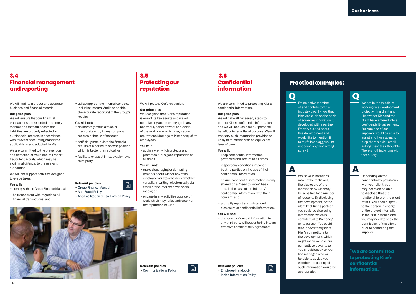# **3.4 Financial management and reporting**

We will maintain proper and accurate business and financial records.

#### Our principles

We will ensure that our financial transactions are recorded in a timely manner and that our assets and liabilities are properly reflected in our financial records, in accordance with relevant accounting standards applicable to and adopted by Kier.

We are committed to the prevention and detection of fraud and will report fraudulent activity, which may be a criminal offence, to the relevant authorities.

We will not support activities designed to evade taxes.

#### You will:

• comply with the Group Finance Manual;

• be transparent with regards to all financial transactions; and

# **3.5 Protecting our reputation**

We will protect Kier's reputation.

#### Our principles

We recognise that Kier's reputation is one of its key assets and we will not take any action or engage in any behaviour, either at work or outside of the workplace, which may cause reputational damage to Kier or any of its employees.

#### You will:

• act in a way which protects and promotes Kier's good reputation at all times.

#### You will not:

• make disparaging or damaging remarks about Kier or any of its employees or stakeholders, whether verbally, in writing, electronically via email or the internet or via social media; or

• engage in any activities outside of work which may reflect adversely on the reputation of Kier.

# **3.6 Confidential information**

We are committed to protecting Kier's confidential information.

#### Our principles

We will take all necessary steps to protect Kier's confidential information and we will not use it for our personal benefit or for any illegal purpose. We will treat any such information provided to us by third parties with an equivalent level of care.

#### You will:

- keep confidential information protected and secure at all times;
- respect any conditions imposed by third parties on the use of their confidential information;
- ensure confidential information is only shared on a "need to know" basis and, in the case of a third party's confidential information, with their consent; and
- promptly report any unintended disclosure of confidential information.

#### You will not:

• disclose confidential information to any third party without entering into an effective confidentiality agreement.

## **Practical examples:**

of and contributor to an industry blog. I know that Kier won a job on the basis of some key innovation it developed with a partner. I'm very excited about this development and would like to mention it to my fellow bloggers. I'm not doing anything wrong

surely?

Whilst your intentions may not be malicious, the disclosure of the innovation by Kier may be sensitive for a number of reasons. By disclosing the development, or the identity of Kier's partner, you could be disclosing information which is confidential to Kier and/ or its partner. You could also inadvertently alert Kier's competitors to the development, which might mean we lose our competitive advantage. You should speak to your line manager, who will be able to advise you whether the posting of such information would be

appropriate.

# **Q Q** I'm an active member

We are in the middle of working on a development project with a client and I know that Kier and the client have entered into a confidentiality agreement. I'm sure one of our suppliers would be able to assist and I was going to drop them a quick email asking them their thoughts. There's nothing wrong with that surely?

# **A A**

Depending on the confidentiality provisions with your client, you may not even be able to disclose that the relationship with the client exists. You should speak to the person in charge of the project internally in the first instance and you may need to seek the permission of the client prior to contacting the supplier.

**"We are committed to protecting Kier's confidential information."**



#### Relevant policies

## Relevant policies • Group Finance Manual • Anti-Fraud Policy 日

• Anti-Facilitation of Tax Evasion Policy

• utilise appropriate internal controls, including Internal Audit, to enable the accurate reporting of the Group's

• deliberately make a false or inaccurate entry in any company records or books of account; • artificially manipulate the financial results of a period to show a position which is better than actual; or • facilitate or assist in tax evasion by a

results. You will not:

third party.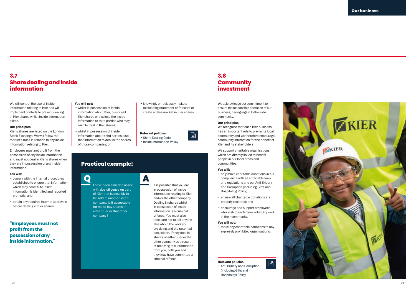# **3.7 Share dealing and inside information**

We will control the use of inside information relating to Kier and will implement controls to prevent dealing in Kier shares whilst inside information exists.

#### Our principles

Kier's shares are listed on the London Stock Exchange. We will follow the market's rules in relation to any inside information relating to Kier.

Employees must not profit from the possession of any inside information and must not deal in Kier's shares when they are in possession of any inside information.

#### You will:

- comply with the internal procedures established to ensure that information which may constitute inside information is identified and reported promptly; and
- obtain any required internal approvals before dealing in Kier shares.

**"Employees must not profit from the possession of any inside information."**

#### You will not:

• whilst in possession of inside information about Kier, buy or sell Kier shares or disclose the inside information to third parties who may wish to deal in Kier shares;

• whilst in possession of inside information about third parties, use that information to deal in the shares of those companies; or

# **Practical example:**

**Q**<br>I have been asked to assist with due diligence on part of Kier that is possibly to be sold to another listed company. Is it acceptable for me to buy shares in either Kier or that other company?

• knowingly or recklessly make a misleading statement or forecast or create a false market in Kier shares.

Relevant policies • Share Dealing Code • Inside Information Policy

 $\Box$ 

It is possible that you are in possession of inside information relating to Kier and/or the other company. Dealing in shares whilst in possession of inside information is a criminal offence. You must also take care not to tell anyone else about the work you are doing and the potential acquisition. If they deal in shares of either Kier or the other company as a result of receiving this information from you, both you and they may have committed a criminal offence.

# **3.8 Community investment**

We acknowledge our commitment to ensure the responsible operation of our business, having regard to the wider community.

#### Our principles

We recognise that each Kier business has an important role to play in its local community and we therefore encourage community interaction for the benefit of Kier and its stakeholders.

We support charitable organisations which are directly linked to benefit people in our local areas and communities.

#### You will:

- only make charitable donations in full compliance with all applicable laws and regulations and our Anti Bribery and Corruption (including Gifts and Hospitality) Policy;
- ensure all charitable donations are properly recorded; and
- encourage and support employees who wish to undertake voluntary work in their community.

#### You will not:

• make any charitable donations to any expressly prohibited organisations.

 $\Box$ 

#### Relevant policies

• Anti Bribery and Corruption (including Gifts and Hospitality) Policy

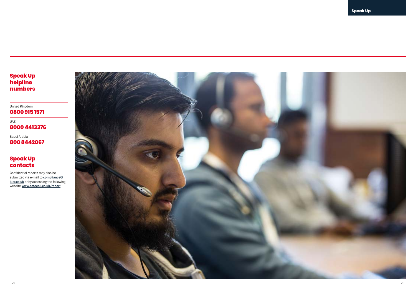United Kingdom **0800 915 1571**

UAE **8000 4413376**

Saudi Arabia **800 8442067**

# **Speak Up contacts**

Confidential reports may also be submitted via e-mail to [compliance@](mailto:compliance%40kier.co.uk?subject=) [kier.co.uk](mailto:compliance%40kier.co.uk?subject=) or by accessing the following website [www.safecall.co.uk/report](http://www.safecall.co.uk/report)

<span id="page-11-0"></span>![](_page_11_Picture_6.jpeg)